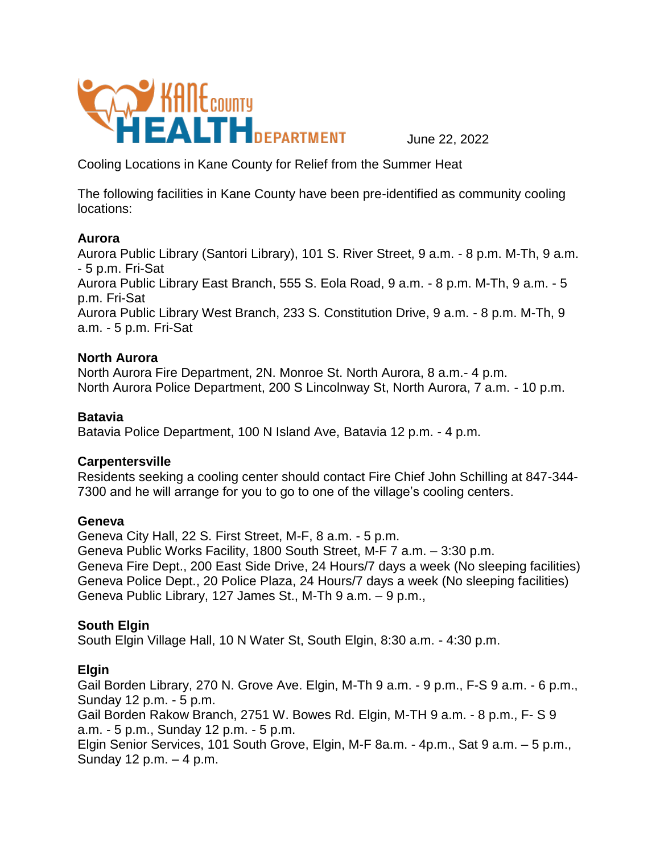

Cooling Locations in Kane County for Relief from the Summer Heat

The following facilities in Kane County have been pre-identified as community cooling locations:

#### **Aurora**

Aurora Public Library (Santori Library), 101 S. River Street, 9 a.m. - 8 p.m. M-Th, 9 a.m. - 5 p.m. Fri-Sat Aurora Public Library East Branch, 555 S. Eola Road, 9 a.m. - 8 p.m. M-Th, 9 a.m. - 5 p.m. Fri-Sat Aurora Public Library West Branch, 233 S. Constitution Drive, 9 a.m. - 8 p.m. M-Th, 9 a.m. - 5 p.m. Fri-Sat

### **North Aurora**

North Aurora Fire Department, 2N. Monroe St. North Aurora, 8 a.m.- 4 p.m. North Aurora Police Department, 200 S Lincolnway St, North Aurora, 7 a.m. - 10 p.m.

### **Batavia**

Batavia Police Department, 100 N Island Ave, Batavia 12 p.m. - 4 p.m.

# **Carpentersville**

Residents seeking a cooling center should contact Fire Chief John Schilling at 847-344- 7300 and he will arrange for you to go to one of the village's cooling centers.

#### **Geneva**

Geneva City Hall, 22 S. First Street, M-F, 8 a.m. - 5 p.m. Geneva Public Works Facility, 1800 South Street, M-F 7 a.m. – 3:30 p.m. Geneva Fire Dept., 200 East Side Drive, 24 Hours/7 days a week (No sleeping facilities) Geneva Police Dept., 20 Police Plaza, 24 Hours/7 days a week (No sleeping facilities) Geneva Public Library, 127 James St., M-Th 9 a.m. – 9 p.m.,

# **South Elgin**

South Elgin Village Hall, 10 N Water St, South Elgin, 8:30 a.m. - 4:30 p.m.

# **Elgin**

Gail Borden Library, 270 N. Grove Ave. Elgin, M-Th 9 a.m. - 9 p.m., F-S 9 a.m. - 6 p.m., Sunday 12 p.m. - 5 p.m. Gail Borden Rakow Branch, 2751 W. Bowes Rd. Elgin, M-TH 9 a.m. - 8 p.m., F- S 9 a.m. - 5 p.m., Sunday 12 p.m. - 5 p.m. Elgin Senior Services, 101 South Grove, Elgin, M-F 8a.m. - 4p.m., Sat 9 a.m. – 5 p.m., Sunday 12 p.m. – 4 p.m.